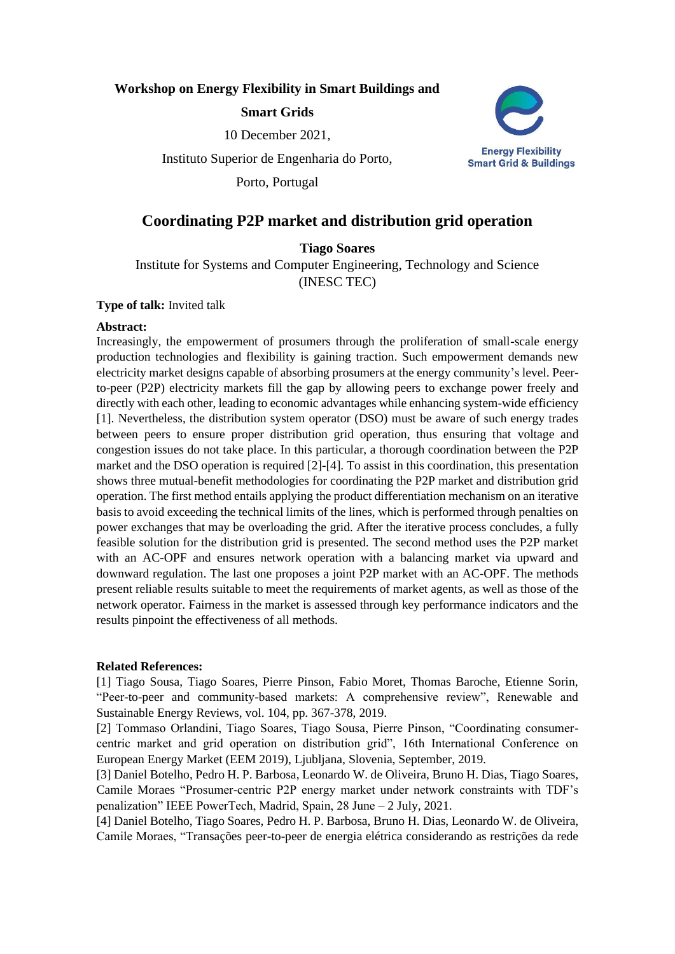## **Workshop on Energy Flexibility in Smart Buildings and**

### **Smart Grids**

10 December 2021,

Instituto Superior de Engenharia do Porto,

Porto, Portugal



# **Coordinating P2P market and distribution grid operation**

# **Tiago Soares**

Institute for Systems and Computer Engineering, Technology and Science (INESC TEC)

#### **Type of talk:** Invited talk

#### **Abstract:**

Increasingly, the empowerment of prosumers through the proliferation of small-scale energy production technologies and flexibility is gaining traction. Such empowerment demands new electricity market designs capable of absorbing prosumers at the energy community's level. Peerto-peer (P2P) electricity markets fill the gap by allowing peers to exchange power freely and directly with each other, leading to economic advantages while enhancing system-wide efficiency [1]. Nevertheless, the distribution system operator (DSO) must be aware of such energy trades between peers to ensure proper distribution grid operation, thus ensuring that voltage and congestion issues do not take place. In this particular, a thorough coordination between the P2P market and the DSO operation is required [2]-[4]. To assist in this coordination, this presentation shows three mutual-benefit methodologies for coordinating the P2P market and distribution grid operation. The first method entails applying the product differentiation mechanism on an iterative basis to avoid exceeding the technical limits of the lines, which is performed through penalties on power exchanges that may be overloading the grid. After the iterative process concludes, a fully feasible solution for the distribution grid is presented. The second method uses the P2P market with an AC-OPF and ensures network operation with a balancing market via upward and downward regulation. The last one proposes a joint P2P market with an AC-OPF. The methods present reliable results suitable to meet the requirements of market agents, as well as those of the network operator. Fairness in the market is assessed through key performance indicators and the results pinpoint the effectiveness of all methods.

### **Related References:**

[1] Tiago Sousa, Tiago Soares, Pierre Pinson, Fabio Moret, Thomas Baroche, Etienne Sorin, "Peer-to-peer and community-based markets: A comprehensive review", Renewable and Sustainable Energy Reviews, vol. 104, pp. 367-378, 2019.

[2] Tommaso Orlandini, Tiago Soares, Tiago Sousa, Pierre Pinson, "Coordinating consumercentric market and grid operation on distribution grid", 16th International Conference on European Energy Market (EEM 2019), Ljubljana, Slovenia, September, 2019.

[3] Daniel Botelho, Pedro H. P. Barbosa, Leonardo W. de Oliveira, Bruno H. Dias, Tiago Soares, Camile Moraes "Prosumer-centric P2P energy market under network constraints with TDF's penalization" IEEE PowerTech, Madrid, Spain, 28 June – 2 July, 2021.

[4] Daniel Botelho, Tiago Soares, Pedro H. P. Barbosa, Bruno H. Dias, Leonardo W. de Oliveira, Camile Moraes, "Transações peer-to-peer de energia elétrica considerando as restrições da rede